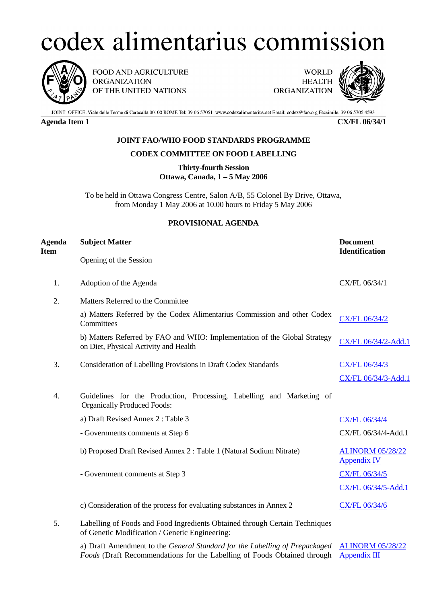## codex alimentarius commission



FOOD AND AGRICULTURE **ORGANIZATION** OF THE UNITED NATIONS

**WORLD HEALTH ORGANIZATION** 



JOINT OFFICE: Viale delle Terme di Caracalla 00100 ROME Tel: 39 06 57051 www.codexalimentarius.net Email: codex@fao.org Facsimile: 39 06 5705 4593

**Agenda Item 1 CX/FL 06/34/1**

## **JOINT FAO/WHO FOOD STANDARDS PROGRAMME**

## **CODEX COMMITTEE ON FOOD LABELLING**

**Thirty-fourth Session Ottawa, Canada, 1 – 5 May 2006**

To be held in Ottawa Congress Centre, Salon A/B, 55 Colonel By Drive, Ottawa, from Monday 1 May 2006 at 10.00 hours to Friday 5 May 2006

## **PROVISIONAL AGENDA**

| Agenda<br>Item | <b>Subject Matter</b>                                                                                                         | <b>Document</b><br><b>Identification</b>      |
|----------------|-------------------------------------------------------------------------------------------------------------------------------|-----------------------------------------------|
|                | Opening of the Session                                                                                                        |                                               |
| 1.             | Adoption of the Agenda                                                                                                        | CX/FL 06/34/1                                 |
| 2.             | Matters Referred to the Committee                                                                                             |                                               |
|                | a) Matters Referred by the Codex Alimentarius Commission and other Codex<br>Committees                                        | CX/FL 06/34/2                                 |
|                | b) Matters Referred by FAO and WHO: Implementation of the Global Strategy<br>on Diet, Physical Activity and Health            | CX/FL 06/34/2-Add.1                           |
| 3.             | Consideration of Labelling Provisions in Draft Codex Standards                                                                | CX/FL 06/34/3                                 |
|                |                                                                                                                               | CX/FL 06/34/3-Add.1                           |
| 4.             | Guidelines for the Production, Processing, Labelling and Marketing of<br><b>Organically Produced Foods:</b>                   |                                               |
|                | a) Draft Revised Annex 2: Table 3                                                                                             | CX/FL 06/34/4                                 |
|                | - Governments comments at Step 6                                                                                              | CX/FL 06/34/4-Add.1                           |
|                | b) Proposed Draft Revised Annex 2 : Table 1 (Natural Sodium Nitrate)                                                          | <b>ALINORM 05/28/22</b><br><b>Appendix IV</b> |
|                | - Government comments at Step 3                                                                                               | CX/FL 06/34/5                                 |
|                |                                                                                                                               | CX/FL 06/34/5-Add.1                           |
|                | c) Consideration of the process for evaluating substances in Annex 2                                                          | CX/FL 06/34/6                                 |
| 5.             | Labelling of Foods and Food Ingredients Obtained through Certain Techniques<br>of Genetic Modification / Genetic Engineering: |                                               |

a) Draft Amendment to the *General Standard for the Labelling of Prepackaged* **[ALINORM 05/28/22](ftp://ftp.fao.org/codex/Reports/Alinorm05/al28_22e.pdf)** Foods (Draft Recommendations for the Labelling of Foods Obtained through **[Appendix](ftp://ftp.fao.org/codex/Reports/Alinorm05/al28_22e.pdf) III**